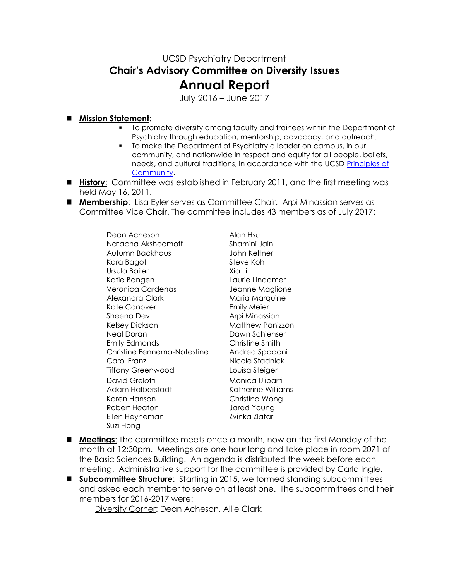## UCSD Psychiatry Department **Chair's Advisory Committee on Diversity Issues Annual Report**

July 2016 – June 2017

## **Mission Statement**:

- To promote diversity among faculty and trainees within the Department of Psychiatry through education, mentorship, advocacy, and outreach.
- To make the Department of Psychiatry a leader on campus, in our community, and nationwide in respect and equity for all people, beliefs, needs, and cultural traditions, in accordance with the UCSD [Principles of](http://www-vcba.ucsd.edu/principles.htm)  [Community.](http://www-vcba.ucsd.edu/principles.htm)
- **History**: Committee was established in February 2011, and the first meeting was held May 16, 2011.
- **Membership**: Lisa Eyler serves as Committee Chair. Arpi Minassian serves as Committee Vice Chair. The committee includes 43 members as of July 2017:

Dean Acheson Alan Hsu Natacha Akshoomoff Shamini Jain Autumn Backhaus John Keltner Kara Bagot Steve Koh Ursula Bailer Xia Li Katie Bangen Laurie Lindamer Veronica Cardenas Jeanne Maglione Alexandra Clark Maria Marquine Kate Conover **Emily Meier** Sheena Dev **Arpi Minassian** Kelsey Dickson Matthew Panizzon Neal Doran Dawn Schiehser Emily Edmonds Christine Smith Christine Fennema-Notestine Andrea Spadoni Carol Franz Nicole Stadnick Tiffany Greenwood Louisa Steiger David Grelotti Monica Ulibarri Adam Halberstadt Katherine Williams Karen Hanson Christina Wong Robert Heaton Jared Young Ellen Heyneman Zvinka Zlatar Suzi Hong

- **Meetings:** The committee meets once a month, now on the first Monday of the month at 12:30pm. Meetings are one hour long and take place in room 2071 of the Basic Sciences Building. An agenda is distributed the week before each meeting. Administrative support for the committee is provided by Carla Ingle.
- **E** Subcommittee Structure: Starting in 2015, we formed standing subcommittees and asked each member to serve on at least one. The subcommittees and their members for 2016-2017 were:

Diversity Corner: Dean Acheson, Allie Clark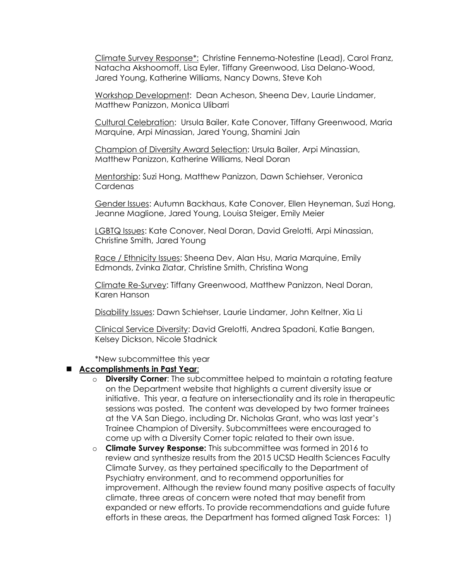Climate Survey Response\*: Christine Fennema-Notestine (Lead), Carol Franz, Natacha Akshoomoff, Lisa Eyler, Tiffany Greenwood, Lisa Delano-Wood, Jared Young, Katherine Williams, Nancy Downs, Steve Koh

Workshop Development: Dean Acheson, Sheena Dev, Laurie Lindamer, Matthew Panizzon, Monica Ulibarri

Cultural Celebration: Ursula Bailer, Kate Conover, Tiffany Greenwood, Maria Marquine, Arpi Minassian, Jared Young, Shamini Jain

Champion of Diversity Award Selection: Ursula Bailer, Arpi Minassian, Matthew Panizzon, Katherine Williams, Neal Doran

Mentorship: Suzi Hong, Matthew Panizzon, Dawn Schiehser, Veronica **Cardenas** 

Gender Issues: Autumn Backhaus, Kate Conover, Ellen Heyneman, Suzi Hong, Jeanne Maglione, Jared Young, Louisa Steiger, Emily Meier

LGBTQ Issues: Kate Conover, Neal Doran, David Grelotti, Arpi Minassian, Christine Smith, Jared Young

Race / Ethnicity Issues: Sheena Dev, Alan Hsu, Maria Marquine, Emily Edmonds, Zvinka Zlatar, Christine Smith, Christina Wong

Climate Re-Survey: Tiffany Greenwood, Matthew Panizzon, Neal Doran, Karen Hanson

Disability Issues: Dawn Schiehser, Laurie Lindamer, John Keltner, Xia Li

Clinical Service Diversity: David Grelotti, Andrea Spadoni, Katie Bangen, Kelsey Dickson, Nicole Stadnick

\*New subcommittee this year

## **Accomplishments in Past Year**:

- o **Diversity Corner**: The subcommittee helped to maintain a rotating feature on the Department website that highlights a current diversity issue or initiative. This year, a feature on intersectionality and its role in therapeutic sessions was posted. The content was developed by two former trainees at the VA San Diego, including Dr. Nicholas Grant, who was last year's Trainee Champion of Diversity. Subcommittees were encouraged to come up with a Diversity Corner topic related to their own issue.
- o **Climate Survey Response:** This subcommittee was formed in 2016 to review and synthesize results from the 2015 UCSD Health Sciences Faculty Climate Survey, as they pertained specifically to the Department of Psychiatry environment, and to recommend opportunities for improvement. Although the review found many positive aspects of faculty climate, three areas of concern were noted that may benefit from expanded or new efforts. To provide recommendations and guide future efforts in these areas, the Department has formed aligned Task Forces: 1)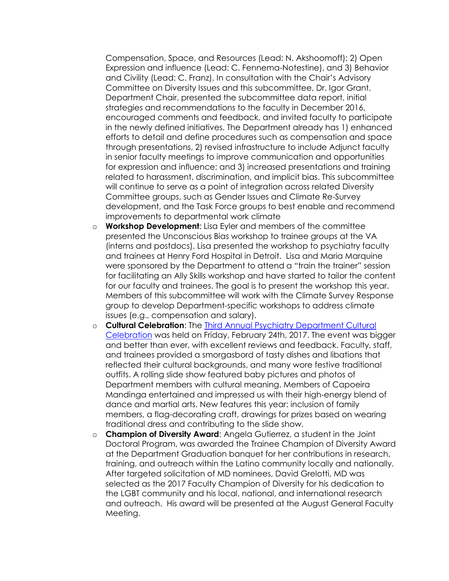Compensation, Space, and Resources (Lead: N. Akshoomoff); 2) Open Expression and influence (Lead: C. Fennema-Notestine), and 3) Behavior and Civility (Lead: C. Franz). In consultation with the Chair's Advisory Committee on Diversity Issues and this subcommittee, Dr. Igor Grant, Department Chair, presented the subcommittee data report, initial strategies and recommendations to the faculty in December 2016, encouraged comments and feedback, and invited faculty to participate in the newly defined initiatives. The Department already has 1) enhanced efforts to detail and define procedures such as compensation and space through presentations, 2) revised infrastructure to include Adjunct faculty in senior faculty meetings to improve communication and opportunities for expression and influence; and 3) increased presentations and training related to harassment, discrimination, and implicit bias. This subcommittee will continue to serve as a point of integration across related Diversity Committee groups, such as Gender Issues and Climate Re-Survey development, and the Task Force groups to best enable and recommend improvements to departmental work climate

- o **Workshop Development**: Lisa Eyler and members of the committee presented the Unconscious Bias workshop to trainee groups at the VA (interns and postdocs). Lisa presented the workshop to psychiatry faculty and trainees at Henry Ford Hospital in Detroit. Lisa and Maria Marquine were sponsored by the Department to attend a "train the trainer" session for facilitating an Ally Skills workshop and have started to tailor the content for our faculty and trainees. The goal is to present the workshop this year. Members of this subcommittee will work with the Climate Survey Response group to develop Department-specific workshops to address climate issues (e.g., compensation and salary).
- o **Cultural Celebration**: The [Third Annual Psychiatry Department Cultural](https://healthsciences.ucsd.edu/som/psychiatry/about/Diversity/Pages/Events.aspx)  [Celebration](https://healthsciences.ucsd.edu/som/psychiatry/about/Diversity/Pages/Events.aspx) was held on Friday, February 24th, 2017. The event was bigger and better than ever, with excellent reviews and feedback. Faculty, staff, and trainees provided a smorgasbord of tasty dishes and libations that reflected their cultural backgrounds, and many wore festive traditional outfits. A rolling slide show featured baby pictures and photos of Department members with cultural meaning. Members of Capoeira Mandinga entertained and impressed us with their high-energy blend of dance and martial arts. New features this year: inclusion of family members, a flag-decorating craft, drawings for prizes based on wearing traditional dress and contributing to the slide show.
- o **Champion of Diversity Award**: Angela Gutierrez, a student in the Joint Doctoral Program, was awarded the Trainee Champion of Diversity Award at the Department Graduation banquet for her contributions in research, training, and outreach within the Latino community locally and nationally. After targeted solicitation of MD nominees, David Grelotti, MD was selected as the 2017 Faculty Champion of Diversity for his dedication to the LGBT community and his local, national, and international research and outreach. His award will be presented at the August General Faculty Meeting.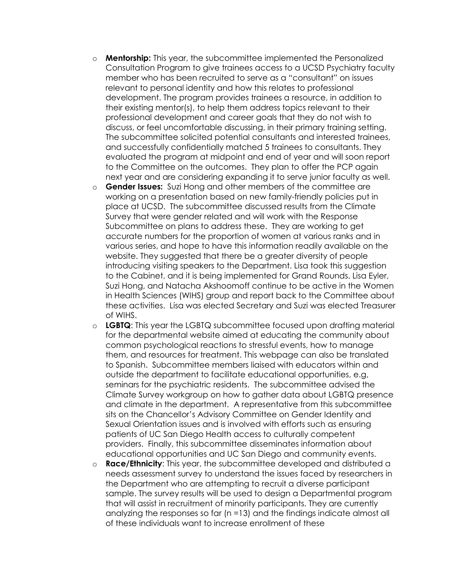- o **Mentorship:** This year, the subcommittee implemented the Personalized Consultation Program to give trainees access to a UCSD Psychiatry faculty member who has been recruited to serve as a "consultant" on issues relevant to personal identity and how this relates to professional development. The program provides trainees a resource, in addition to their existing mentor(s), to help them address topics relevant to their professional development and career goals that they do not wish to discuss, or feel uncomfortable discussing, in their primary training setting. The subcommittee solicited potential consultants and interested trainees, and successfully confidentially matched 5 trainees to consultants. They evaluated the program at midpoint and end of year and will soon report to the Committee on the outcomes. They plan to offer the PCP again next year and are considering expanding it to serve junior faculty as well.
- o **Gender Issues:** Suzi Hong and other members of the committee are working on a presentation based on new family-friendly policies put in place at UCSD. The subcommittee discussed results from the Climate Survey that were gender related and will work with the Response Subcommittee on plans to address these. They are working to get accurate numbers for the proportion of women at various ranks and in various series, and hope to have this information readily available on the website. They suggested that there be a greater diversity of people introducing visiting speakers to the Department. Lisa took this suggestion to the Cabinet, and it is being implemented for Grand Rounds. Lisa Eyler, Suzi Hong, and Natacha Akshoomoff continue to be active in the Women in Health Sciences (WIHS) group and report back to the Committee about these activities. Lisa was elected Secretary and Suzi was elected Treasurer of WIHS.
- o **LGBTQ**: This year the LGBTQ subcommittee focused upon drafting material for the departmental website aimed at educating the community about common psychological reactions to stressful events, how to manage them, and resources for treatment. This webpage can also be translated to Spanish. Subcommittee members liaised with educators within and outside the department to facilitate educational opportunities, e.g, seminars for the psychiatric residents. The subcommittee advised the Climate Survey workgroup on how to gather data about LGBTQ presence and climate in the department. A representative from this subcommittee sits on the Chancellor's Advisory Committee on Gender Identity and Sexual Orientation issues and is involved with efforts such as ensuring patients of UC San Diego Health access to culturally competent providers. Finally, this subcommittee disseminates information about educational opportunities and UC San Diego and community events.
- o **Race/Ethnicity**: This year, the subcommittee developed and distributed a needs assessment survey to understand the issues faced by researchers in the Department who are attempting to recruit a diverse participant sample. The survey results will be used to design a Departmental program that will assist in recruitment of minority participants. They are currently analyzing the responses so far (n =13) and the findings indicate almost all of these individuals want to increase enrollment of these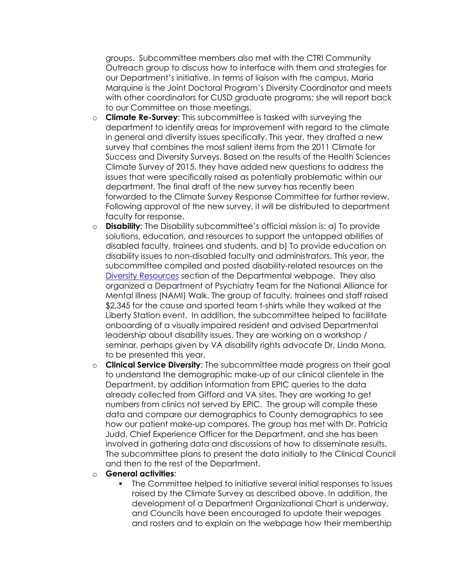groups. Subcommittee members also met with the CTRI Community Outreach group to discuss how to interface with them and strategies for our Department's initiative. In terms of liaison with the campus, Maria Marquine is the Joint Doctoral Program's Diversity Coordinator and meets with other coordinators for CUSD graduate programs; she will report back to our Committee on those meetings.

- o **Climate Re-Survey**: This subcommittee is tasked with surveying the department to identify areas for improvement with regard to the climate in general and diversity issues specifically. This year, they drafted a new survey that combines the most salient items from the 2011 Climate for Success and Diversity Surveys. Based on the results of the Health Sciences Climate Survey of 2015, they have added new questions to address the issues that were specifically raised as potentially problematic within our department. The final draft of the new survey has recently been forwarded to the Climate Survey Response Committee for further review. Following approval of the new survey, it will be distributed to department faculty for response.
- o **Disability**: The Disability subcommittee's official mission is: a) To provide solutions, education, and resources to support the untapped abilities of disabled faculty, trainees and students, and b) To provide education on disability issues to non-disabled faculty and administrators. This year, the subcommittee compiled and posted disability-related resources on the Diversity [Resources](https://healthsciences.ucsd.edu/som/psychiatry/about/Diversity/Pages/Diversity-Resources.aspx) section of the Departmental webpage. They also organized a Department of Psychiatry Team for the National Alliance for Mental Illness (NAMI) Walk. The group of faculty, trainees and staff raised \$2,345 for the cause and sported team t-shirts while they walked at the Liberty Station event. In addition, the subcommittee helped to facilitate onboarding of a visually impaired resident and advised Departmental leadership about disability issues. They are working on a workshop / seminar, perhaps given by VA disability rights advocate Dr. Linda Mona, to be presented this year.
- o **Clinical Service Diversity**: The subcommittee made progress on their goal to understand the demographic make-up of our clinical clientele in the Department, by addition information from EPIC queries to the data already collected from Gifford and VA sites. They are working to get numbers from clinics not served by EPIC. The group will compile these data and compare our demographics to County demographics to see how our patient make-up compares. The group has met with Dr. Patricia Judd, Chief Experience Officer for the Department, and she has been involved in gathering data and discussions of how to disseminate results. The subcommittee plans to present the data initially to the Clinical Council and then to the rest of the Department.
- o **General activities**:
	- The Committee helped to initiative several initial responses to issues raised by the Climate Survey as described above. In addition, the development of a Department Organizational Chart is underway, and Councils have been encouraged to update their wepages and rosters and to explain on the webpage how their membership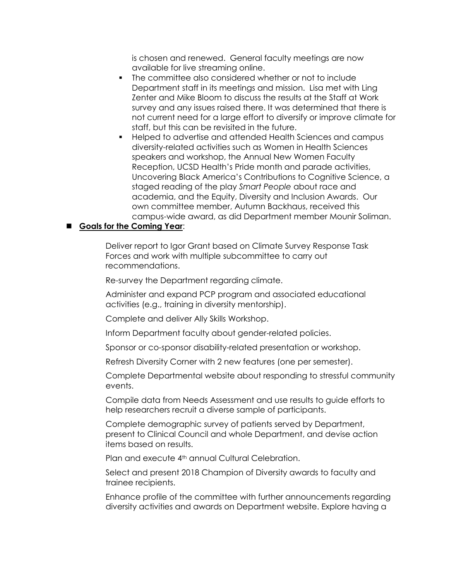is chosen and renewed. General faculty meetings are now available for live streaming online.

- The committee also considered whether or not to include Department staff in its meetings and mission. Lisa met with Ling Zenter and Mike Bloom to discuss the results at the Staff at Work survey and any issues raised there. It was determined that there is not current need for a large effort to diversify or improve climate for staff, but this can be revisited in the future.
- Helped to advertise and attended Health Sciences and campus diversity-related activities such as Women in Health Sciences speakers and workshop, the Annual New Women Faculty Reception, UCSD Health's Pride month and parade activities, Uncovering Black America's Contributions to Cognitive Science, a staged reading of the play *Smart People* about race and academia, and the Equity, Diversity and Inclusion Awards. Our own committee member, Autumn Backhaus, received this campus-wide award, as did Department member Mounir Soliman.

## **Goals for the Coming Year**:

Deliver report to Igor Grant based on Climate Survey Response Task Forces and work with multiple subcommittee to carry out recommendations.

Re-survey the Department regarding climate.

Administer and expand PCP program and associated educational activities (e.g., training in diversity mentorship).

Complete and deliver Ally Skills Workshop.

Inform Department faculty about gender-related policies.

Sponsor or co-sponsor disability-related presentation or workshop.

Refresh Diversity Corner with 2 new features (one per semester).

Complete Departmental website about responding to stressful community events.

Compile data from Needs Assessment and use results to guide efforts to help researchers recruit a diverse sample of participants.

Complete demographic survey of patients served by Department, present to Clinical Council and whole Department, and devise action items based on results.

Plan and execute 4<sup>th</sup> annual Cultural Celebration.

Select and present 2018 Champion of Diversity awards to faculty and trainee recipients.

Enhance profile of the committee with further announcements regarding diversity activities and awards on Department website. Explore having a